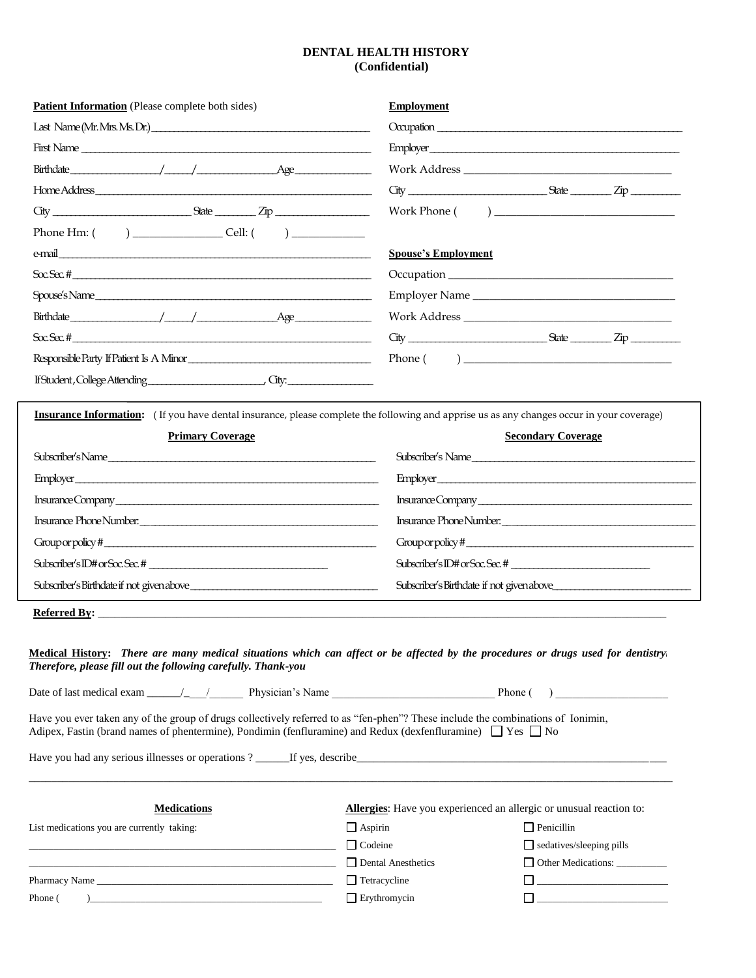## **DENTAL HEALTH HISTORY (Confidential)**

| Patient Information (Please complete both sides)                                                                                                                                                                                                                                                                | <b>Employment</b>          |                                                                                                                        |  |  |  |  |
|-----------------------------------------------------------------------------------------------------------------------------------------------------------------------------------------------------------------------------------------------------------------------------------------------------------------|----------------------------|------------------------------------------------------------------------------------------------------------------------|--|--|--|--|
|                                                                                                                                                                                                                                                                                                                 |                            |                                                                                                                        |  |  |  |  |
|                                                                                                                                                                                                                                                                                                                 |                            | Employer                                                                                                               |  |  |  |  |
| $Birthdate \_\_\_\_\_$                                                                                                                                                                                                                                                                                          |                            |                                                                                                                        |  |  |  |  |
|                                                                                                                                                                                                                                                                                                                 |                            |                                                                                                                        |  |  |  |  |
|                                                                                                                                                                                                                                                                                                                 |                            |                                                                                                                        |  |  |  |  |
| Phone Hm: $\frac{1}{2}$ $\frac{1}{2}$ $\frac{1}{2}$ $\frac{1}{2}$ $\frac{1}{2}$ $\frac{1}{2}$ $\frac{1}{2}$ $\frac{1}{2}$ $\frac{1}{2}$ $\frac{1}{2}$ $\frac{1}{2}$ $\frac{1}{2}$ $\frac{1}{2}$ $\frac{1}{2}$ $\frac{1}{2}$ $\frac{1}{2}$ $\frac{1}{2}$ $\frac{1}{2}$ $\frac{1}{2}$ $\frac{1}{2}$ $\frac{1}{2}$ |                            |                                                                                                                        |  |  |  |  |
|                                                                                                                                                                                                                                                                                                                 | <b>Spouse's Employment</b> |                                                                                                                        |  |  |  |  |
| $SocSec.$ #                                                                                                                                                                                                                                                                                                     |                            |                                                                                                                        |  |  |  |  |
| Spouse's Name                                                                                                                                                                                                                                                                                                   |                            | Employer Name                                                                                                          |  |  |  |  |
| $Birthdate \_\_\_\_\_$                                                                                                                                                                                                                                                                                          |                            |                                                                                                                        |  |  |  |  |
| $SocSec.$ #                                                                                                                                                                                                                                                                                                     |                            | $City$ $Size$ $Zip$                                                                                                    |  |  |  |  |
| Responsible Party If Patient Is A Minor                                                                                                                                                                                                                                                                         |                            |                                                                                                                        |  |  |  |  |
|                                                                                                                                                                                                                                                                                                                 |                            |                                                                                                                        |  |  |  |  |
| <b>Insurance Information:</b> (If you have dental insurance, please complete the following and apprise us as any changes occur in your coverage)                                                                                                                                                                |                            |                                                                                                                        |  |  |  |  |
| <b>Primary Coverage</b>                                                                                                                                                                                                                                                                                         |                            | <b>Secondary Coverage</b>                                                                                              |  |  |  |  |
| Subscriber's Name                                                                                                                                                                                                                                                                                               |                            | Subscriber's Name                                                                                                      |  |  |  |  |
| Employer                                                                                                                                                                                                                                                                                                        |                            | Employer                                                                                                               |  |  |  |  |
|                                                                                                                                                                                                                                                                                                                 |                            | Insurance Company                                                                                                      |  |  |  |  |
| Insurance Phone Number.<br><u> </u>                                                                                                                                                                                                                                                                             |                            | Insurance Phone Number.                                                                                                |  |  |  |  |
| Groupor policy #                                                                                                                                                                                                                                                                                                |                            | Groupor policy #                                                                                                       |  |  |  |  |
| $Subscale'sID# or Soc. Sec. # _______$                                                                                                                                                                                                                                                                          |                            |                                                                                                                        |  |  |  |  |
|                                                                                                                                                                                                                                                                                                                 |                            |                                                                                                                        |  |  |  |  |
|                                                                                                                                                                                                                                                                                                                 |                            |                                                                                                                        |  |  |  |  |
| Medical History: There are many medical situations which can affect or be affected by the procedures or drugs used for dentistryi<br>Therefore, please fill out the following carefully. Thank-you<br>Date of last medical exam $\frac{1}{\sqrt{1-\frac{1}{2}}}$ Physician's Name Phone Phone ( )               |                            |                                                                                                                        |  |  |  |  |
| Have you ever taken any of the group of drugs collectively referred to as "fen-phen"? These include the combinations of Ionimin,<br>Adipex, Fastin (brand names of phentermine), Pondimin (fenfluramine) and Redux (dexfenfluramine) $\Box$ Yes $\Box$ No                                                       |                            |                                                                                                                        |  |  |  |  |
|                                                                                                                                                                                                                                                                                                                 |                            |                                                                                                                        |  |  |  |  |
| <b>Medications</b>                                                                                                                                                                                                                                                                                              |                            | <b>Allergies:</b> Have you experienced an allergic or unusual reaction to:                                             |  |  |  |  |
| List medications you are currently taking:                                                                                                                                                                                                                                                                      | $\Box$ Aspirin             | $\Box$ Penicillin                                                                                                      |  |  |  |  |
|                                                                                                                                                                                                                                                                                                                 | $\Box$ Codeine             | $\Box$ sedatives/sleeping pills                                                                                        |  |  |  |  |
|                                                                                                                                                                                                                                                                                                                 | Dental Anesthetics         | Other Medications:                                                                                                     |  |  |  |  |
|                                                                                                                                                                                                                                                                                                                 | $\Box$ Tetracycline        | <u> 1989 - Andrea Andrew Maria (b. 1989)</u>                                                                           |  |  |  |  |
| Phone (<br><u> 1999 - Johann John Stein, markin film fan it ferskearre fan it ferskearre fan it ferskearre fan it ferskearr</u>                                                                                                                                                                                 | $\Box$ Erythromycin        | <u> 1990 - Johann John Harry Harry Harry Harry Harry Harry Harry Harry Harry Harry Harry Harry Harry Harry Harry H</u> |  |  |  |  |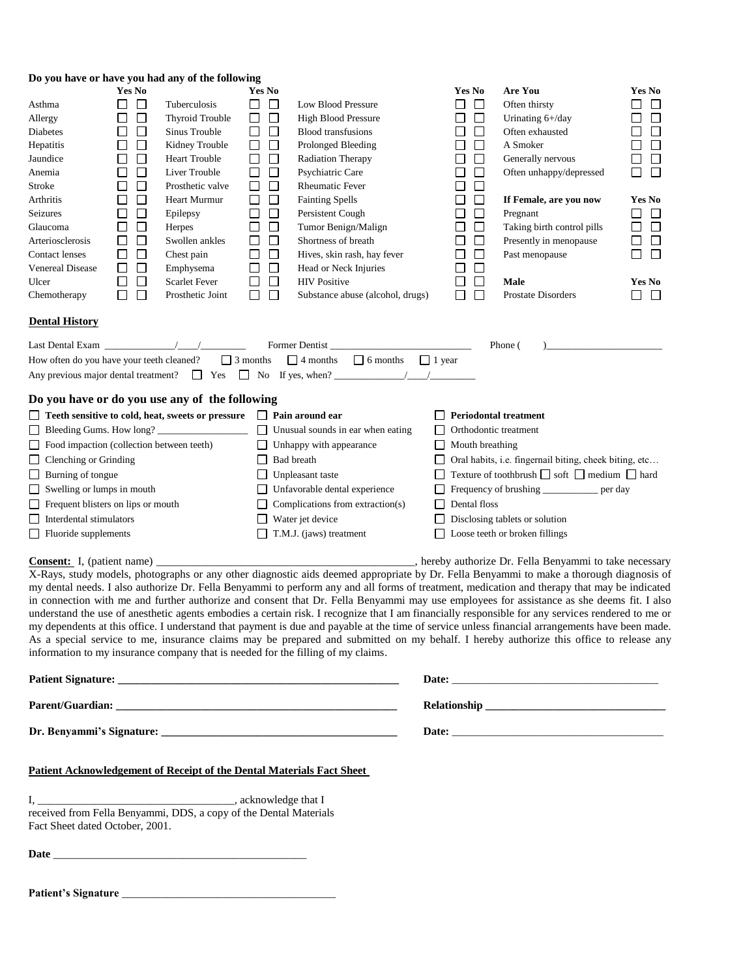| Do you have or have you had any of the following                                                                                                                                                                                                                                                                                                                                                                                 |                                                                                                                                                                                                                                                             |                                                                                                                                                                                                                                                         |                                                                                                                                                                                                                     |                                                                                                                                                                                                                                                                                                                                                                                                                                                                                                                                                                                                                                                                                                                                                                                                                                                                                                                                                                                                                                                                                                                                                                                                                                                                                                                      |        |                                                                                                                                                                                                                                                  |                                                                                                                                                                                                                                                                                                                    |                                                                                                                                                                                                                            |
|----------------------------------------------------------------------------------------------------------------------------------------------------------------------------------------------------------------------------------------------------------------------------------------------------------------------------------------------------------------------------------------------------------------------------------|-------------------------------------------------------------------------------------------------------------------------------------------------------------------------------------------------------------------------------------------------------------|---------------------------------------------------------------------------------------------------------------------------------------------------------------------------------------------------------------------------------------------------------|---------------------------------------------------------------------------------------------------------------------------------------------------------------------------------------------------------------------|----------------------------------------------------------------------------------------------------------------------------------------------------------------------------------------------------------------------------------------------------------------------------------------------------------------------------------------------------------------------------------------------------------------------------------------------------------------------------------------------------------------------------------------------------------------------------------------------------------------------------------------------------------------------------------------------------------------------------------------------------------------------------------------------------------------------------------------------------------------------------------------------------------------------------------------------------------------------------------------------------------------------------------------------------------------------------------------------------------------------------------------------------------------------------------------------------------------------------------------------------------------------------------------------------------------------|--------|--------------------------------------------------------------------------------------------------------------------------------------------------------------------------------------------------------------------------------------------------|--------------------------------------------------------------------------------------------------------------------------------------------------------------------------------------------------------------------------------------------------------------------------------------------------------------------|----------------------------------------------------------------------------------------------------------------------------------------------------------------------------------------------------------------------------|
| Asthma<br>Allergy<br>Diabetes<br>Hepatitis<br>Jaundice<br>Anemia<br>Stroke<br>Arthritis<br>Seizures<br>Glaucoma<br>Arteriosclerosis<br>Contact lenses<br>Venereal Disease<br>Ulcer<br>Chemotherapy                                                                                                                                                                                                                               | Yes No<br>$\Box$<br>⊔<br>$\Box$<br>□<br>□<br>$\Box$<br>□<br>$\mathbb{R}^n$<br>$\Box$<br>$\Box$<br>□<br>$\mathsf{L}$<br>$\Box$<br>$\Box$<br>$\Box$<br>$\mathsf{L}$<br>$\Box$<br>$\Box$<br>□<br>$\Box$<br>□<br>$\Box$<br>$\Box$<br>$\Box$<br>□<br>$\Box$<br>П | Tuberculosis<br>Thyroid Trouble<br>Sinus Trouble<br>Kidney Trouble<br><b>Heart Trouble</b><br>Liver Trouble<br>Prosthetic valve<br>Heart Murmur<br>Epilepsy<br>Herpes<br>Swollen ankles<br>Chest pain<br>Emphysema<br>Scarlet Fever<br>Prosthetic Joint | Yes No<br>$\Box$<br>U<br>$\Box$<br>□<br>□<br>ப<br>□<br>□<br>□<br>$\Box$<br>□<br>□<br>⊔<br>$\Box$<br>$\Box$<br>□<br>□<br>□<br>□<br>⊔<br>$\Box$<br>⊔<br>□<br>□<br>$\Box$<br>□<br>$\Box$<br>$\Box$<br>$\Box$<br>$\Box$ | Low Blood Pressure<br><b>High Blood Pressure</b><br><b>Blood transfusions</b><br>Prolonged Bleeding<br>Radiation Therapy<br>Psychiatric Care<br><b>Rheumatic Fever</b><br><b>Fainting Spells</b><br>Persistent Cough<br>Tumor Benign/Malign<br>Shortness of breath<br>Hives, skin rash, hay fever<br>Head or Neck Injuries<br><b>HIV</b> Positive<br>Substance abuse (alcohol, drugs)                                                                                                                                                                                                                                                                                                                                                                                                                                                                                                                                                                                                                                                                                                                                                                                                                                                                                                                                | ப<br>□ | <b>Yes No</b><br>$\Box$<br>$\Box$<br>ΙI<br>$\Box$<br>ப<br>$\Box$<br>L<br>$\Box$<br>$\Box$<br>$\Box$<br>⊔<br>□<br>⊔<br>$\Box$<br>□<br>$\Box$<br>$\Box$<br>$\Box$<br>$\mathsf{L}$<br>$\Box$<br>□<br>$\Box$<br>$\Box$<br>$\Box$<br>$\Box$<br>$\Box$ | Are You<br>Often thirsty<br>Urinating 6+/day<br>Often exhausted<br>A Smoker<br>Generally nervous<br>Often unhappy/depressed<br>If Female, are you now<br>Pregnant<br>Taking birth control pills<br>Presently in menopause<br>Past menopause<br>Male<br>Prostate Disorders                                          | Yes No<br>$\Box$<br>$\Box$<br>ΙI<br>$\Box$<br>$\overline{\phantom{a}}$<br>$\Box$<br>LI<br>$\Box$<br>□<br>$\Box$<br>ப<br><b>Yes No</b><br>$\Box$<br>ப<br>$\Box$<br>$\Box$<br>$\Box$<br>Ш<br>□<br>$\Box$<br>Yes No<br>П<br>U |
| <b>Dental History</b>                                                                                                                                                                                                                                                                                                                                                                                                            |                                                                                                                                                                                                                                                             |                                                                                                                                                                                                                                                         |                                                                                                                                                                                                                     |                                                                                                                                                                                                                                                                                                                                                                                                                                                                                                                                                                                                                                                                                                                                                                                                                                                                                                                                                                                                                                                                                                                                                                                                                                                                                                                      |        |                                                                                                                                                                                                                                                  |                                                                                                                                                                                                                                                                                                                    |                                                                                                                                                                                                                            |
| Last Dental Exam $\frac{\sqrt{1-\frac{1}{2}}}{\sqrt{1-\frac{1}{2}}}}$<br>How often do you have your teeth cleaned?                                                                                                                                                                                                                                                                                                               |                                                                                                                                                                                                                                                             |                                                                                                                                                                                                                                                         |                                                                                                                                                                                                                     | Former Dentist<br>$\Box$ 3 months $\Box$ 4 months<br>$\Box$ 6 months $\Box$ 1 year                                                                                                                                                                                                                                                                                                                                                                                                                                                                                                                                                                                                                                                                                                                                                                                                                                                                                                                                                                                                                                                                                                                                                                                                                                   |        |                                                                                                                                                                                                                                                  | Phone (                                                                                                                                                                                                                                                                                                            |                                                                                                                                                                                                                            |
| Do you have or do you use any of the following<br>□ Teeth sensitive to cold, heat, sweets or pressure<br>Bleeding Gums. How long?<br>□ Food impaction (collection between teeth)<br>$\Box$ Clenching or Grinding<br>$\Box$ Burning of tongue<br>$\Box$ Swelling or lumps in mouth<br>Frequent blisters on lips or mouth<br>□<br>□<br>Interdental stimulators<br>$\Box$ Fluoride supplements<br><b>Consent:</b> I, (patient name) |                                                                                                                                                                                                                                                             |                                                                                                                                                                                                                                                         | $\Box$<br>$\Box$                                                                                                                                                                                                    | $\Box$ Pain around ear<br>Unusual sounds in ear when eating<br>Unhappy with appearance<br>Bad breath<br>Unpleasant taste<br>Unfavorable dental experience<br>Complications from extraction(s)<br>Water jet device<br>T.M.J. (jaws) treatment<br>_______________________________, hereby authorize Dr. Fella Benyammi to take necessary<br>X-Rays, study models, photographs or any other diagnostic aids deemed appropriate by Dr. Fella Benyammi to make a thorough diagnosis of<br>my dental needs. I also authorize Dr. Fella Benyammi to perform any and all forms of treatment, medication and therapy that may be indicated<br>in connection with me and further authorize and consent that Dr. Fella Benyammi may use employees for assistance as she deems fit. I also<br>understand the use of anesthetic agents embodies a certain risk. I recognize that I am financially responsible for any services rendered to me or<br>my dependents at this office. I understand that payment is due and payable at the time of service unless financial arrangements have been made.<br>As a special service to me, insurance claims may be prepared and submitted on my behalf. I hereby authorize this office to release any<br>information to my insurance company that is needed for the filling of my claims. |        | $\Box$ Mouth breathing<br>Dental floss                                                                                                                                                                                                           | <b>Periodontal treatment</b><br>Orthodontic treatment<br>□ Oral habits, i.e. fingernail biting, cheek biting, etc<br>$\Box$ Texture of toothbrush $\Box$ soft $\Box$ medium $\Box$ hard<br>Frequency of brushing ____________ per day<br>$\Box$ Disclosing tablets or solution<br>□ Loose teeth or broken fillings |                                                                                                                                                                                                                            |
|                                                                                                                                                                                                                                                                                                                                                                                                                                  |                                                                                                                                                                                                                                                             |                                                                                                                                                                                                                                                         |                                                                                                                                                                                                                     |                                                                                                                                                                                                                                                                                                                                                                                                                                                                                                                                                                                                                                                                                                                                                                                                                                                                                                                                                                                                                                                                                                                                                                                                                                                                                                                      |        |                                                                                                                                                                                                                                                  |                                                                                                                                                                                                                                                                                                                    |                                                                                                                                                                                                                            |
|                                                                                                                                                                                                                                                                                                                                                                                                                                  |                                                                                                                                                                                                                                                             |                                                                                                                                                                                                                                                         |                                                                                                                                                                                                                     |                                                                                                                                                                                                                                                                                                                                                                                                                                                                                                                                                                                                                                                                                                                                                                                                                                                                                                                                                                                                                                                                                                                                                                                                                                                                                                                      |        |                                                                                                                                                                                                                                                  |                                                                                                                                                                                                                                                                                                                    |                                                                                                                                                                                                                            |
|                                                                                                                                                                                                                                                                                                                                                                                                                                  |                                                                                                                                                                                                                                                             |                                                                                                                                                                                                                                                         |                                                                                                                                                                                                                     |                                                                                                                                                                                                                                                                                                                                                                                                                                                                                                                                                                                                                                                                                                                                                                                                                                                                                                                                                                                                                                                                                                                                                                                                                                                                                                                      |        |                                                                                                                                                                                                                                                  |                                                                                                                                                                                                                                                                                                                    |                                                                                                                                                                                                                            |
| <b>Patient Acknowledgement of Receipt of the Dental Materials Fact Sheet</b><br>received from Fella Benyammi, DDS, a copy of the Dental Materials<br>Fact Sheet dated October, 2001.                                                                                                                                                                                                                                             |                                                                                                                                                                                                                                                             |                                                                                                                                                                                                                                                         |                                                                                                                                                                                                                     |                                                                                                                                                                                                                                                                                                                                                                                                                                                                                                                                                                                                                                                                                                                                                                                                                                                                                                                                                                                                                                                                                                                                                                                                                                                                                                                      |        |                                                                                                                                                                                                                                                  |                                                                                                                                                                                                                                                                                                                    |                                                                                                                                                                                                                            |